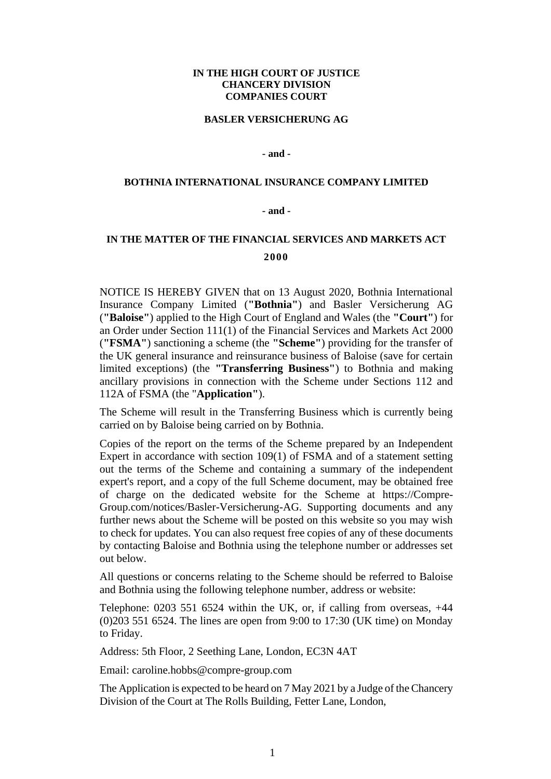## **IN THE HIGH COURT OF JUSTICE CHANCERY DIVISION COMPANIES COURT**

#### **BASLER VERSICHERUNG AG**

## **- and -**

### **BOTHNIA INTERNATIONAL INSURANCE COMPANY LIMITED**

### **- and -**

# **IN THE MATTER OF THE FINANCIAL SERVICES AND MARKETS ACT 2000**

NOTICE IS HEREBY GIVEN that on 13 August 2020, Bothnia International Insurance Company Limited (**"Bothnia"**) and Basler Versicherung AG (**"Baloise"**) applied to the High Court of England and Wales (the **"Court"**) for an Order under Section 111(1) of the Financial Services and Markets Act 2000 (**"FSMA"**) sanctioning a scheme (the **"Scheme"**) providing for the transfer of the UK general insurance and reinsurance business of Baloise (save for certain limited exceptions) (the **"Transferring Business"**) to Bothnia and making ancillary provisions in connection with the Scheme under Sections 112 and 112A of FSMA (the "**Application"**).

The Scheme will result in the Transferring Business which is currently being carried on by Baloise being carried on by Bothnia.

Copies of the report on the terms of the Scheme prepared by an Independent Expert in accordance with section 109(1) of FSMA and of a statement setting out the terms of the Scheme and containing a summary of the independent expert's report, and a copy of the full Scheme document, may be obtained free of charge on the dedicated website for the Scheme at https://Compre-Group.com/notices/Basler-Versicherung-AG. Supporting documents and any further news about the Scheme will be posted on this website so you may wish to check for updates. You can also request free copies of any of these documents by contacting Baloise and Bothnia using the telephone number or addresses set out below.

All questions or concerns relating to the Scheme should be referred to Baloise and Bothnia using the following telephone number, address or website:

Telephone: 0203 551 6524 within the UK, or, if calling from overseas, +44 (0)203 551 6524. The lines are open from 9:00 to 17:30 (UK time) on Monday to Friday.

Address: 5th Floor, 2 Seething Lane, London, EC3N 4AT

Email: caroline.hobbs@compre-group.com

The Application is expected to be heard on 7 May 2021 by a Judge of the Chancery Division of the Court at The Rolls Building, Fetter Lane, London,